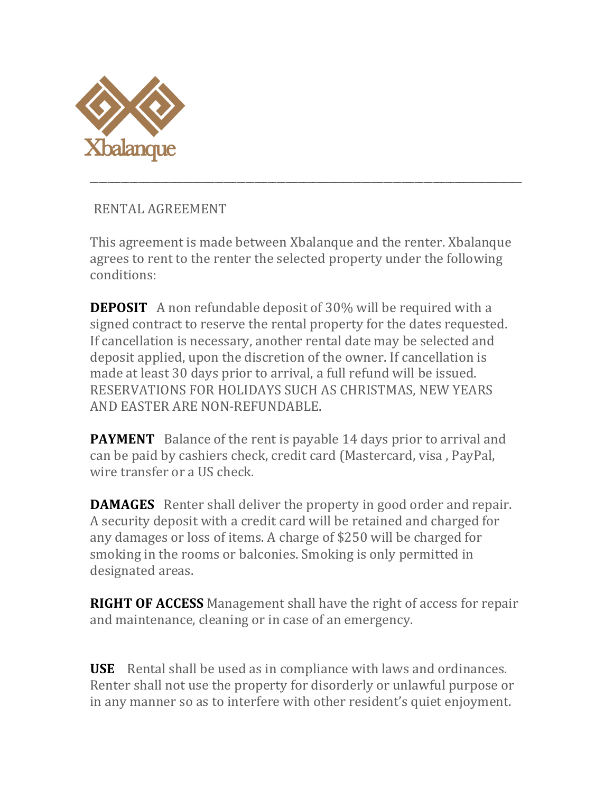

RENTAL AGREEMENT 

This agreement is made between Xbalanque and the renter. Xbalanque agrees to rent to the renter the selected property under the following conditions:

\_\_\_\_\_\_\_\_\_\_\_\_\_\_\_\_\_\_\_\_\_\_\_\_\_\_\_\_\_\_\_\_\_\_\_\_\_\_\_\_\_\_\_\_\_\_\_\_\_\_\_\_\_\_\_\_\_\_\_\_\_\_\_\_\_\_\_\_\_\_\_\_\_\_\_\_\_\_\_\_\_\_\_\_\_\_\_\_\_\_\_\_\_\_\_\_\_

**DEPOSIT** A non refundable deposit of 30% will be required with a signed contract to reserve the rental property for the dates requested. If cancellation is necessary, another rental date may be selected and deposit applied, upon the discretion of the owner. If cancellation is made at least 30 days prior to arrival, a full refund will be issued. RESERVATIONS FOR HOLIDAYS SUCH AS CHRISTMAS, NEW YEARS AND EASTER ARE NON-REFUNDABLE.

**PAYMENT** Balance of the rent is payable 14 days prior to arrival and can be paid by cashiers check, credit card (Mastercard, visa, PayPal, wire transfer or a US check.

**DAMAGES** Renter shall deliver the property in good order and repair. A security deposit with a credit card will be retained and charged for any damages or loss of items. A charge of \$250 will be charged for smoking in the rooms or balconies. Smoking is only permitted in designated areas.

**RIGHT OF ACCESS** Management shall have the right of access for repair and maintenance, cleaning or in case of an emergency.

**USE** Rental shall be used as in compliance with laws and ordinances. Renter shall not use the property for disorderly or unlawful purpose or in any manner so as to interfere with other resident's quiet enjoyment.